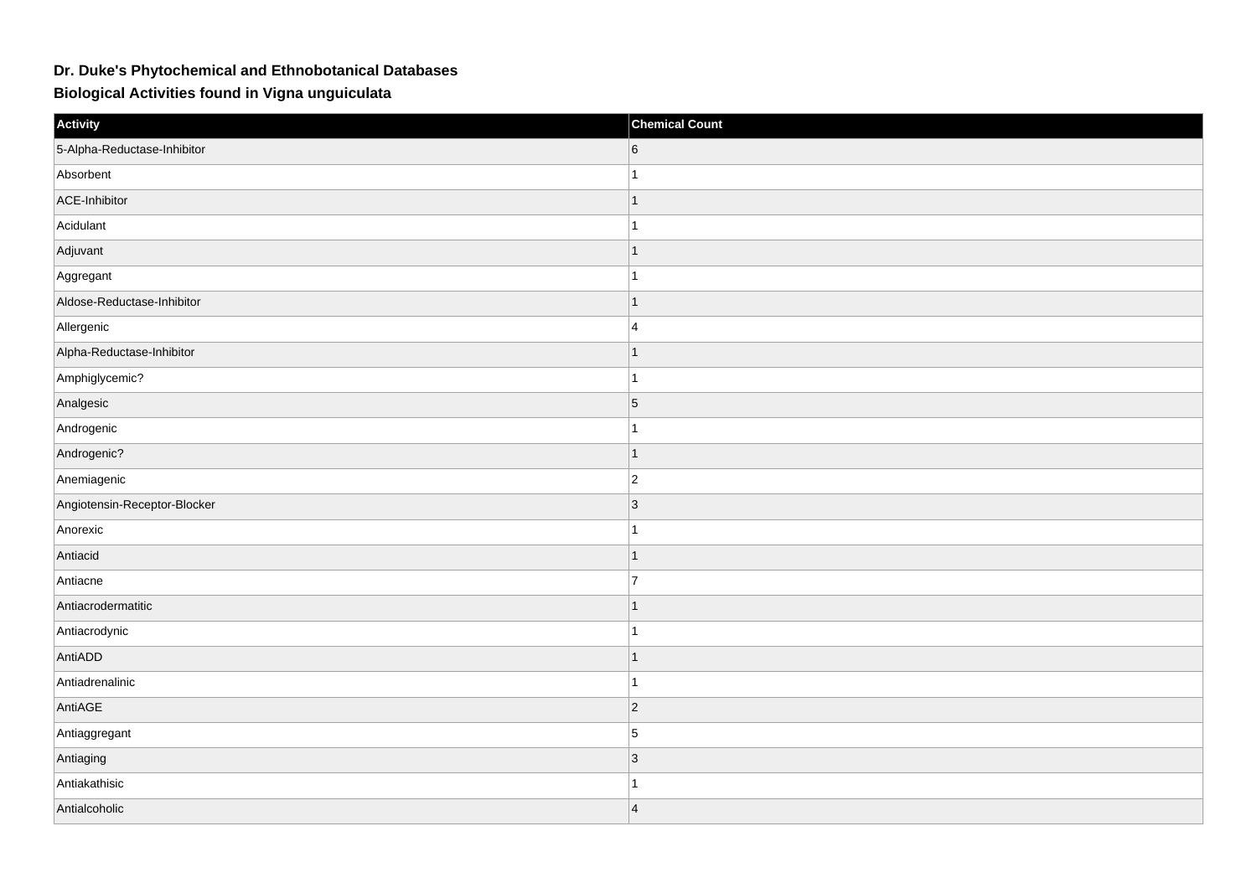## **Dr. Duke's Phytochemical and Ethnobotanical Databases**

**Biological Activities found in Vigna unguiculata**

| Activity                     | <b>Chemical Count</b> |
|------------------------------|-----------------------|
| 5-Alpha-Reductase-Inhibitor  | 6                     |
| Absorbent                    | $\mathbf{1}$          |
| ACE-Inhibitor                | $\mathbf{1}$          |
| Acidulant                    | $\mathbf{1}$          |
| Adjuvant                     | $\mathbf{1}$          |
| Aggregant                    | $\mathbf{1}$          |
| Aldose-Reductase-Inhibitor   | $\mathbf{1}$          |
| Allergenic                   | 4                     |
| Alpha-Reductase-Inhibitor    | $\mathbf{1}$          |
| Amphiglycemic?               | $\mathbf{1}$          |
| Analgesic                    | $\overline{5}$        |
| Androgenic                   | $\mathbf{1}$          |
| Androgenic?                  | $\mathbf{1}$          |
| Anemiagenic                  | $ 2\rangle$           |
| Angiotensin-Receptor-Blocker | 3                     |
| Anorexic                     | $\mathbf{1}$          |
| Antiacid                     | $\mathbf{1}$          |
| Antiacne                     | $\overline{7}$        |
| Antiacrodermatitic           | $\mathbf{1}$          |
| Antiacrodynic                | $\mathbf{1}$          |
| AntiADD                      | $\mathbf{1}$          |
| Antiadrenalinic              | $\mathbf{1}$          |
| AntiAGE                      | $ 2\rangle$           |
| Antiaggregant                | $\overline{5}$        |
| Antiaging                    | $\vert 3 \vert$       |
| Antiakathisic                | $\mathbf 1$           |
| Antialcoholic                | $\vert$ 4             |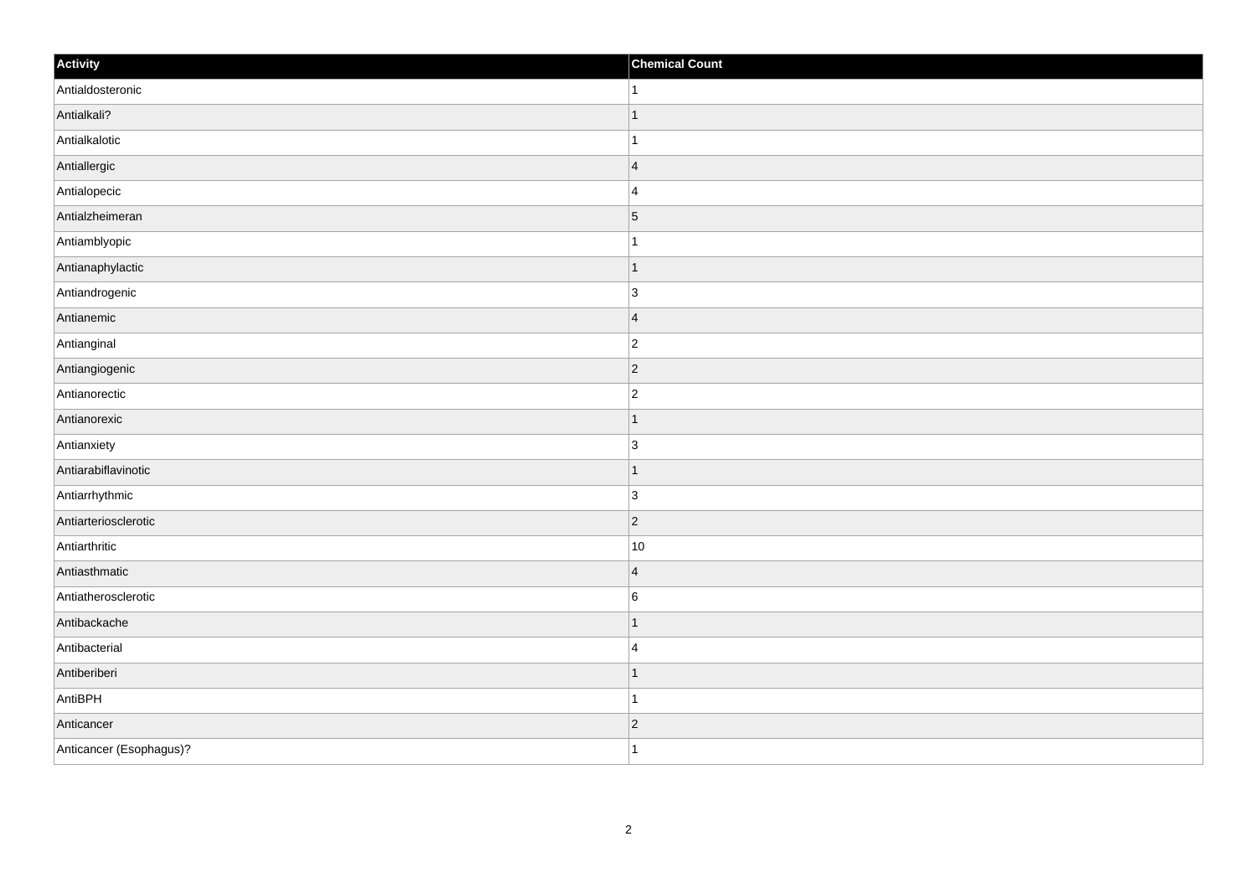| Activity                | <b>Chemical Count</b> |
|-------------------------|-----------------------|
| Antialdosteronic        | $\vert$ 1             |
| Antialkali?             | $\mathbf{1}$          |
| Antialkalotic           |                       |
| Antiallergic            | $\overline{4}$        |
| Antialopecic            | $\overline{4}$        |
| Antialzheimeran         | $\vert 5 \vert$       |
| Antiamblyopic           | $\mathbf{1}$          |
| Antianaphylactic        | $\mathbf{1}$          |
| Antiandrogenic          | 3                     |
| Antianemic              | $\overline{4}$        |
| Antianginal             | $\overline{c}$        |
| Antiangiogenic          | $ 2\rangle$           |
| Antianorectic           | $\overline{2}$        |
| Antianorexic            | 1                     |
| Antianxiety             | $\overline{3}$        |
| Antiarabiflavinotic     | $\overline{1}$        |
| Antiarrhythmic          | $\overline{3}$        |
| Antiarteriosclerotic    | $ 2\rangle$           |
| Antiarthritic           | 10                    |
| Antiasthmatic           | $\overline{4}$        |
| Antiatherosclerotic     | $\,6$                 |
| Antibackache            | $\mathbf{1}$          |
| Antibacterial           | $\overline{4}$        |
| Antiberiberi            | $\mathbf{1}$          |
| AntiBPH                 | 1                     |
| Anticancer              | $ 2\rangle$           |
| Anticancer (Esophagus)? | $\mathbf{1}$          |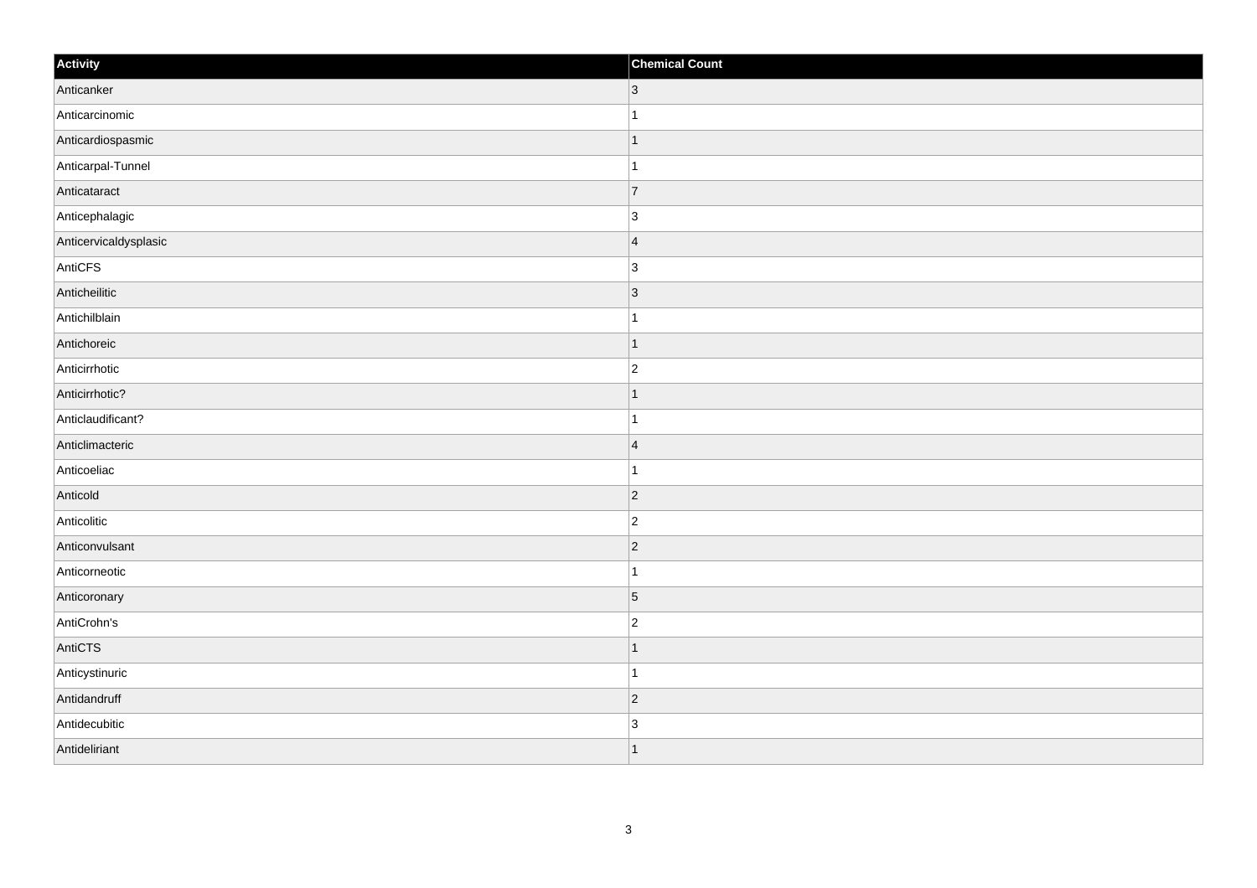| Activity              | <b>Chemical Count</b>    |
|-----------------------|--------------------------|
| Anticanker            | $ 3\rangle$              |
| Anticarcinomic        |                          |
| Anticardiospasmic     | $\overline{\phantom{a}}$ |
| Anticarpal-Tunnel     |                          |
| Anticataract          | $\overline{7}$           |
| Anticephalagic        | 3                        |
| Anticervicaldysplasic | $\overline{\mathbf{4}}$  |
| AntiCFS               | $\overline{3}$           |
| Anticheilitic         | $\vert$ 3                |
| Antichilblain         | -1                       |
| Antichoreic           | -1                       |
| Anticirrhotic         | $\overline{2}$           |
| Anticirrhotic?        | 1                        |
| Anticlaudificant?     | -1                       |
| Anticlimacteric       | $\vert 4 \vert$          |
| Anticoeliac           |                          |
| Anticold              | $\overline{2}$           |
| Anticolitic           | $\overline{2}$           |
| Anticonvulsant        | $\vert$ 2                |
| Anticorneotic         |                          |
| Anticoronary          | $\overline{5}$           |
| AntiCrohn's           | $\overline{2}$           |
| AntiCTS               | -1                       |
| Anticystinuric        | 1                        |
| Antidandruff          | $\vert$ 2                |
| Antidecubitic         | $\overline{3}$           |
| Antideliriant         | ∣ 1                      |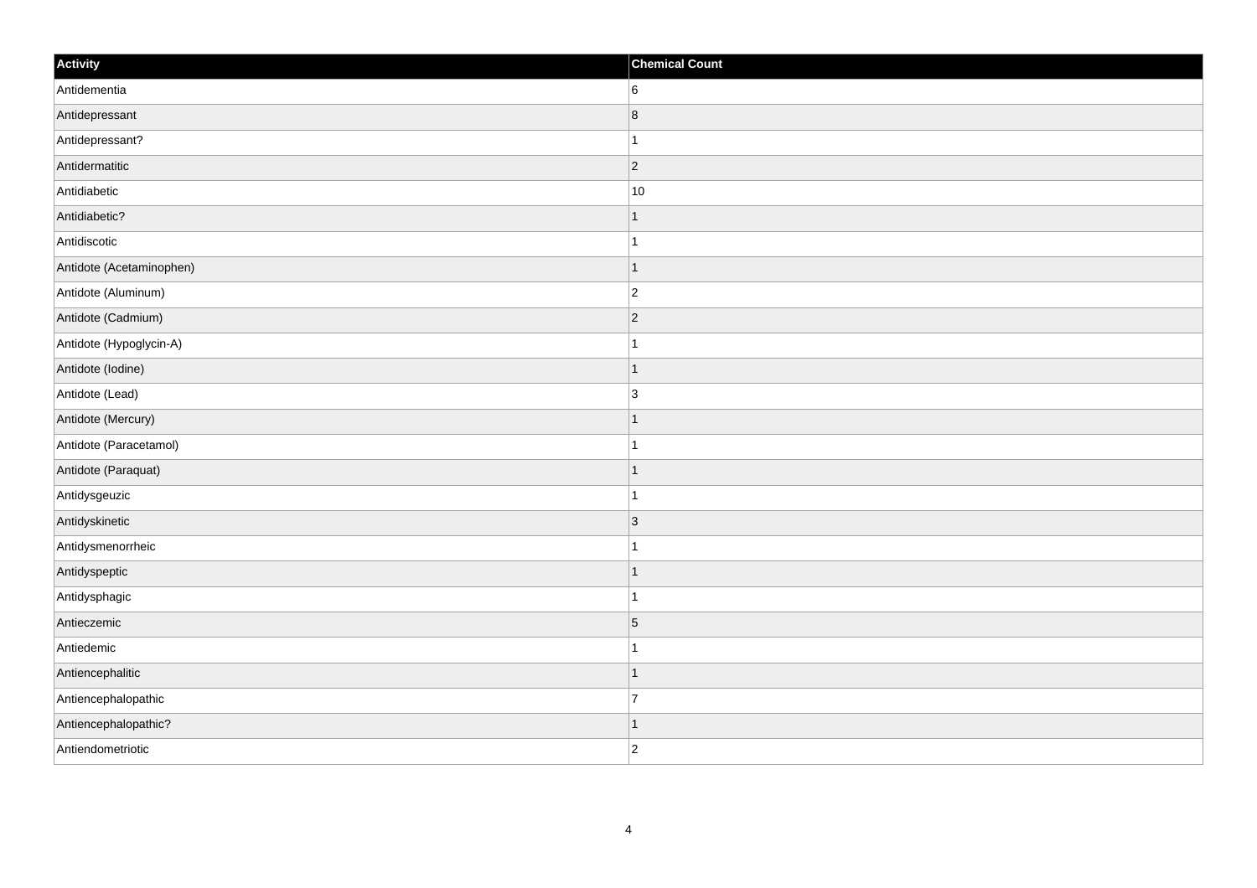| Activity                 | <b>Chemical Count</b> |
|--------------------------|-----------------------|
| Antidementia             | 6                     |
| Antidepressant           | $\vert 8 \vert$       |
| Antidepressant?          | $\mathbf{1}$          |
| Antidermatitic           | $ 2\rangle$           |
| Antidiabetic             | 10                    |
| Antidiabetic?            | $\mathbf{1}$          |
| Antidiscotic             | $\mathbf{1}$          |
| Antidote (Acetaminophen) | $\mathbf{1}$          |
| Antidote (Aluminum)      | $\vert$ 2             |
| Antidote (Cadmium)       | $ 2\rangle$           |
| Antidote (Hypoglycin-A)  | $\mathbf{1}$          |
| Antidote (Iodine)        | $\mathbf{1}$          |
| Antidote (Lead)          | 3                     |
| Antidote (Mercury)       | $\mathbf{1}$          |
| Antidote (Paracetamol)   | $\mathbf{1}$          |
| Antidote (Paraquat)      | $\vert$ 1             |
| Antidysgeuzic            | $\mathbf{1}$          |
| Antidyskinetic           | $ 3\rangle$           |
| Antidysmenorrheic        | $\mathbf{1}$          |
| Antidyspeptic            | $\mathbf{1}$          |
| Antidysphagic            | $\mathbf{1}$          |
| Antieczemic              | $\overline{5}$        |
| Antiedemic               | $\mathbf{1}$          |
| Antiencephalitic         | $\mathbf{1}$          |
| Antiencephalopathic      | $\overline{7}$        |
| Antiencephalopathic?     | $\mathbf{1}$          |
| Antiendometriotic        | $ 2\rangle$           |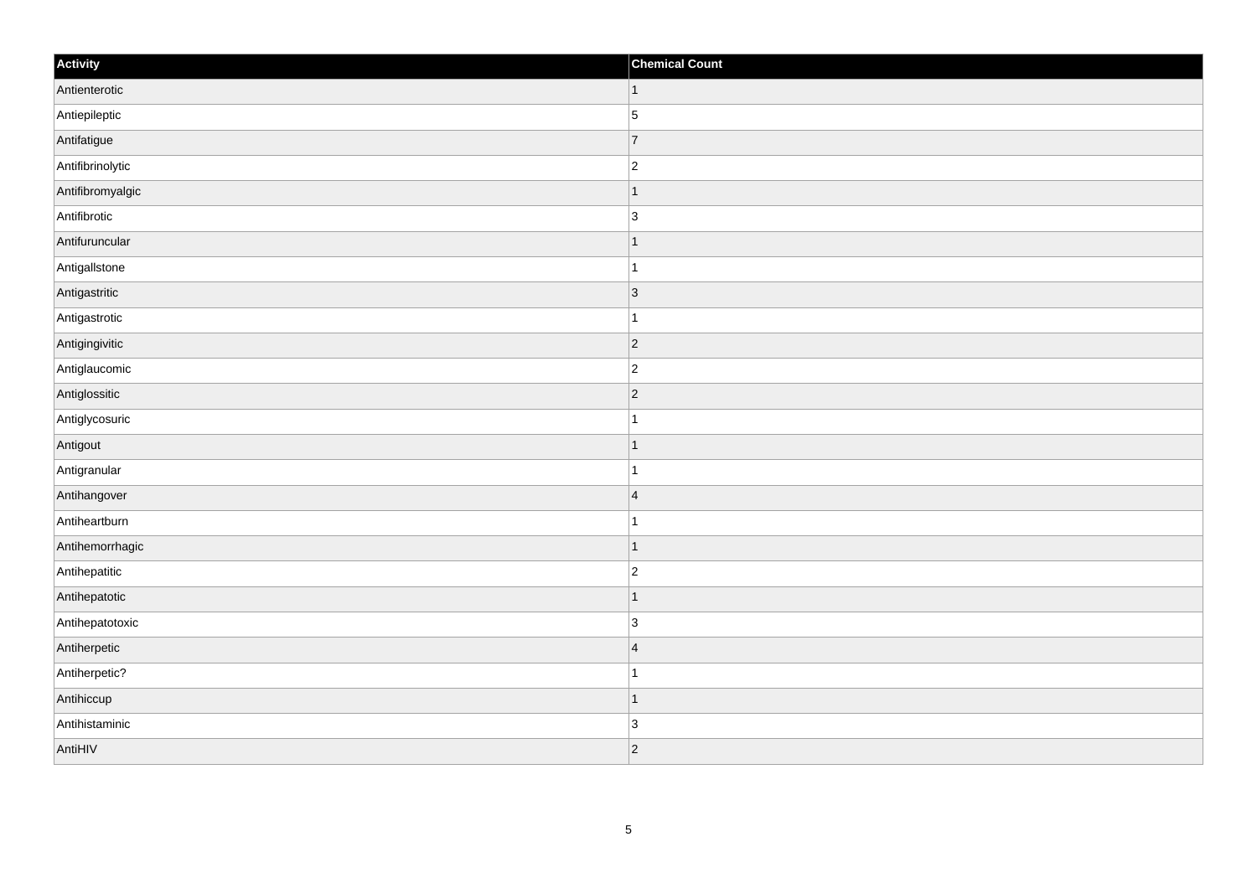| Activity         | <b>Chemical Count</b>    |
|------------------|--------------------------|
| Antienterotic    | $\vert$ 1                |
| Antiepileptic    | $\overline{5}$           |
| Antifatigue      | $\overline{7}$           |
| Antifibrinolytic | $\overline{c}$           |
| Antifibromyalgic | 1                        |
| Antifibrotic     | 3                        |
| Antifuruncular   | ∣ 1                      |
| Antigallstone    | $\overline{1}$           |
| Antigastritic    | $\vert$ 3                |
| Antigastrotic    | -1                       |
| Antigingivitic   | $\overline{2}$           |
| Antiglaucomic    | $\overline{c}$           |
| Antiglossitic    | $\vert$ 2                |
| Antiglycosuric   |                          |
| Antigout         | ٠                        |
| Antigranular     |                          |
| Antihangover     | $\vert 4 \vert$          |
| Antiheartburn    |                          |
| Antihemorrhagic  | $\overline{\phantom{a}}$ |
| Antihepatitic    | $\overline{c}$           |
| Antihepatotic    |                          |
| Antihepatotoxic  | $\overline{3}$           |
| Antiherpetic     | $\overline{4}$           |
| Antiherpetic?    |                          |
| Antihiccup       | $\overline{\phantom{a}}$ |
| Antihistaminic   | $\overline{3}$           |
| AntiHIV          | $\overline{2}$           |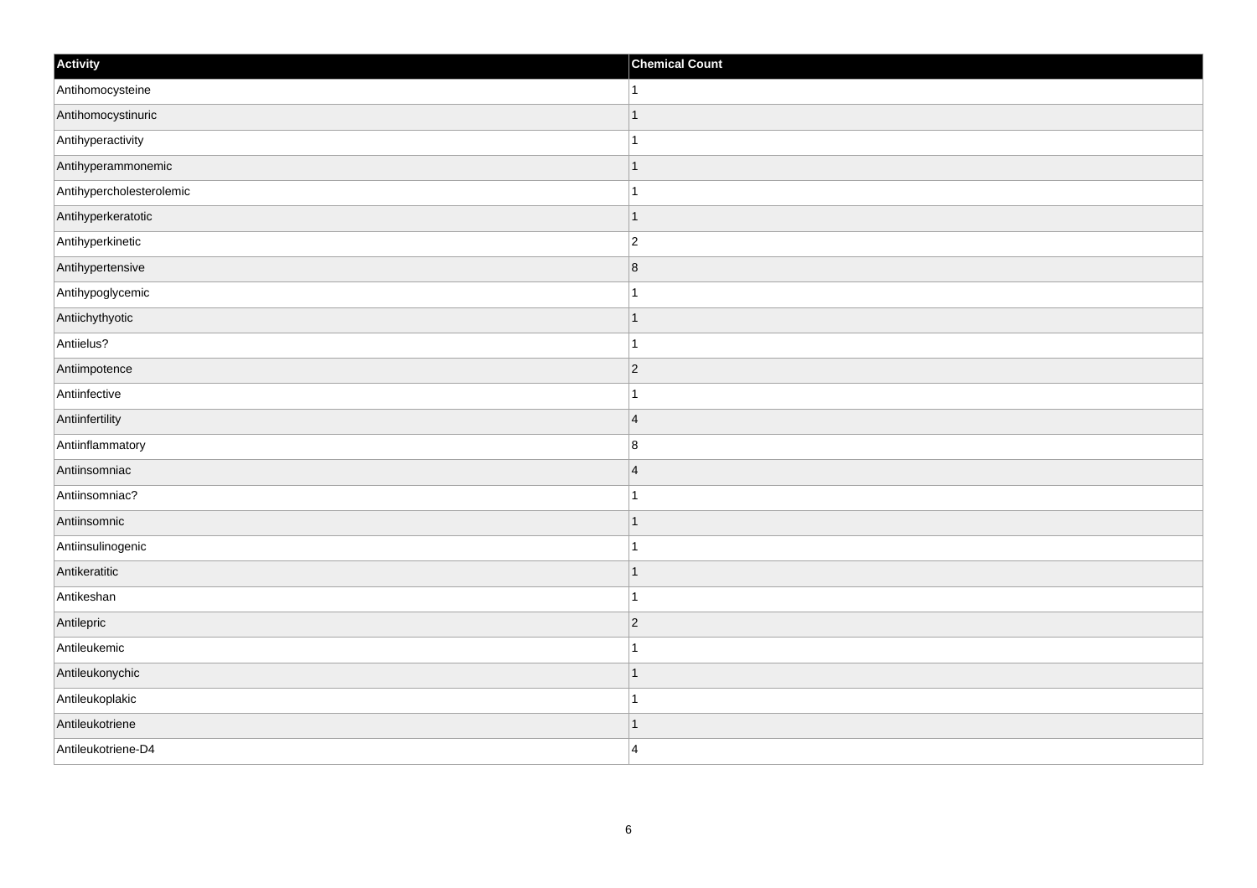| Activity                 | <b>Chemical Count</b> |
|--------------------------|-----------------------|
| Antihomocysteine         | $\mathbf{1}$          |
| Antihomocystinuric       | $\mathbf{1}$          |
| Antihyperactivity        | $\mathbf{1}$          |
| Antihyperammonemic       | $\vert$ 1             |
| Antihypercholesterolemic | $\mathbf{1}$          |
| Antihyperkeratotic       | $\mathbf{1}$          |
| Antihyperkinetic         | $ 2\rangle$           |
| Antihypertensive         | 8                     |
| Antihypoglycemic         | $\mathbf 1$           |
| Antiichythyotic          | $\vert$ 1             |
| Antiielus?               | $\vert$ 1             |
| Antiimpotence            | $ 2\rangle$           |
| Antiinfective            | $\mathbf{1}$          |
| Antiinfertility          | $\vert 4$             |
| Antiinflammatory         | 8                     |
| Antiinsomniac            | $\vert 4 \vert$       |
| Antiinsomniac?           | $\mathbf{1}$          |
| Antiinsomnic             | $\vert$ 1             |
| Antiinsulinogenic        | $\mathbf{1}$          |
| Antikeratitic            | $\mathbf{1}$          |
| Antikeshan               | $\mathbf{1}$          |
| Antilepric               | $ 2\rangle$           |
| Antileukemic             | $\mathbf{1}$          |
| Antileukonychic          | $\vert$ 1             |
| Antileukoplakic          | $\mathbf{1}$          |
| Antileukotriene          | $\mathbf{1}$          |
| Antileukotriene-D4       | $\vert$ 4             |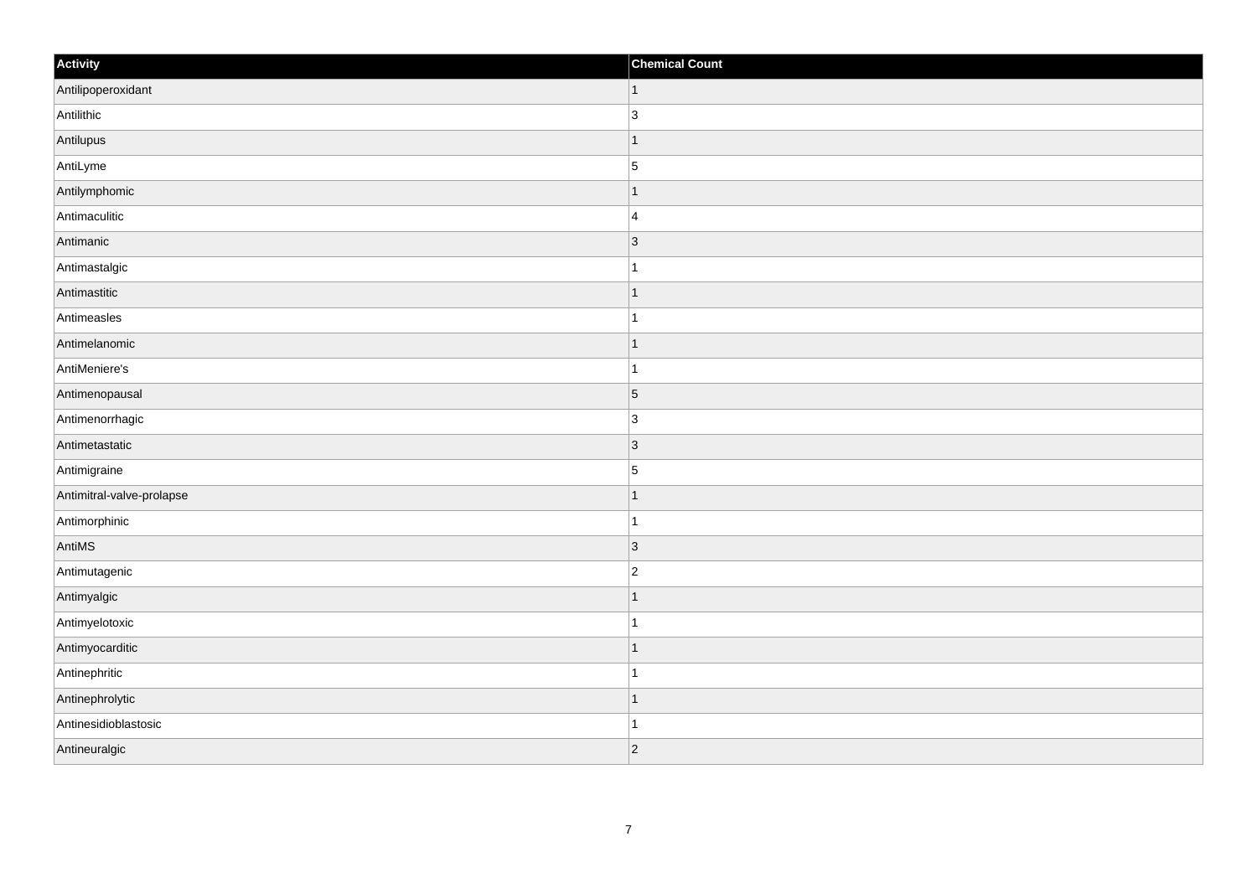| Activity                  | <b>Chemical Count</b>    |
|---------------------------|--------------------------|
| Antilipoperoxidant        | $\vert$ 1                |
| Antilithic                | 3                        |
| Antilupus                 | f.                       |
| AntiLyme                  | $\overline{5}$           |
| Antilymphomic             |                          |
| Antimaculitic             | $\overline{4}$           |
| Antimanic                 | $ 3\rangle$              |
| Antimastalgic             | 1                        |
| Antimastitic              |                          |
| Antimeasles               |                          |
| Antimelanomic             | -1                       |
| AntiMeniere's             |                          |
| Antimenopausal            | $\overline{5}$           |
| Antimenorrhagic           | $\overline{3}$           |
| Antimetastatic            | $\vert 3 \vert$          |
| Antimigraine              | $\overline{5}$           |
| Antimitral-valve-prolapse | $\overline{\phantom{a}}$ |
| Antimorphinic             | 1                        |
| AntiMS                    | 3                        |
| Antimutagenic             | $\overline{2}$           |
| Antimyalgic               | f.                       |
| Antimyelotoxic            |                          |
| Antimyocarditic           | 1                        |
| Antinephritic             |                          |
| Antinephrolytic           | $\overline{\phantom{a}}$ |
| Antinesidioblastosic      |                          |
| Antineuralgic             | $\vert$ 2                |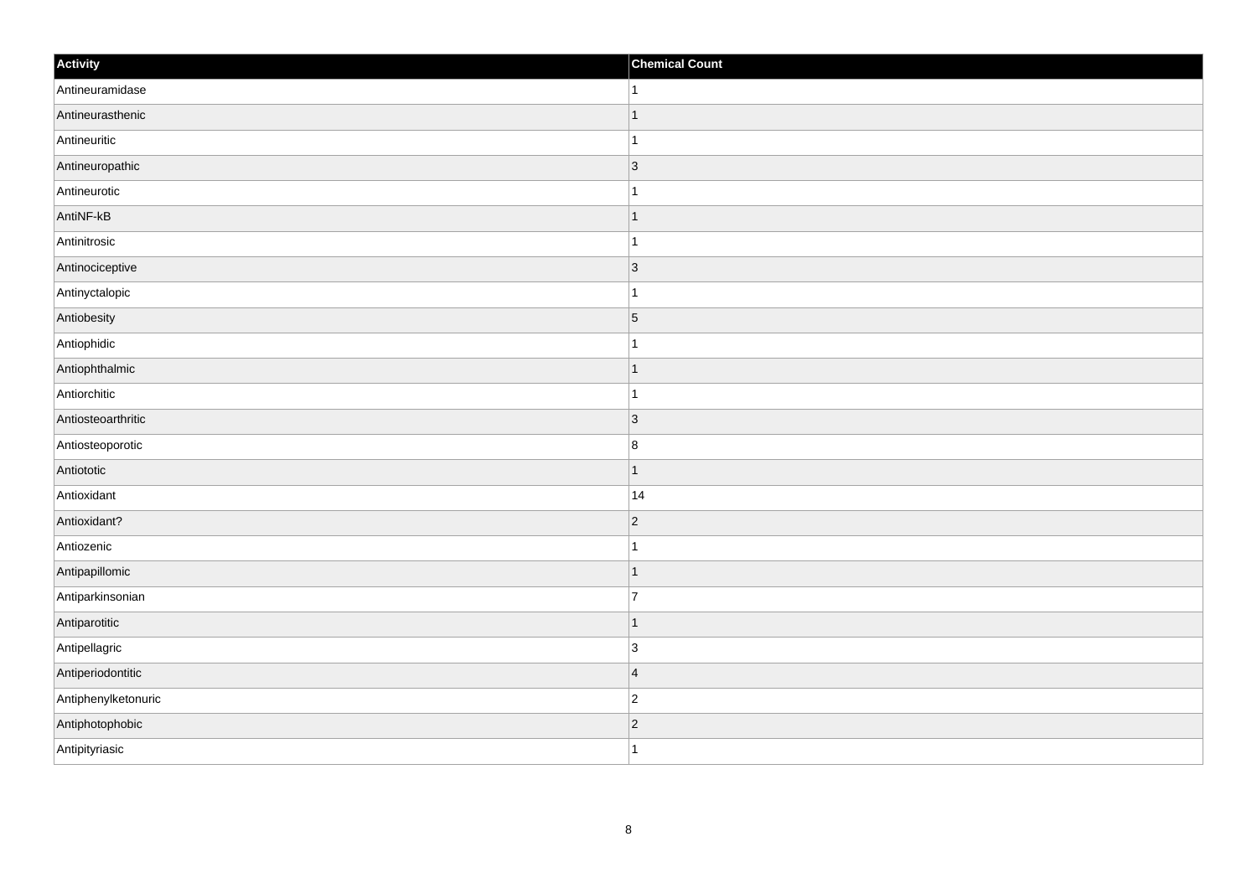| Activity            | <b>Chemical Count</b> |
|---------------------|-----------------------|
| Antineuramidase     | $\vert$ 1             |
| Antineurasthenic    | $\mathbf{1}$          |
| Antineuritic        | $\mathbf{1}$          |
| Antineuropathic     | $ 3\rangle$           |
| Antineurotic        | $\mathbf{1}$          |
| AntiNF-kB           | $\mathbf{1}$          |
| Antinitrosic        | $\mathbf{1}$          |
| Antinociceptive     | 3                     |
| Antinyctalopic      | $\mathbf{1}$          |
| Antiobesity         | $\overline{5}$        |
| Antiophidic         | $\mathbf{1}$          |
| Antiophthalmic      | $\vert$ 1             |
| Antiorchitic        | $\mathbf{1}$          |
| Antiosteoarthritic  | $\vert$ 3             |
| Antiosteoporotic    | 8                     |
| Antiototic          | $\vert$ 1             |
| Antioxidant         | 14                    |
| Antioxidant?        | $ 2\rangle$           |
| Antiozenic          | $\vert$ 1             |
| Antipapillomic      | $\vert$ 1             |
| Antiparkinsonian    | 7                     |
| Antiparotitic       | $\vert$ 1             |
| Antipellagric       | 3                     |
| Antiperiodontitic   | 4                     |
| Antiphenylketonuric | $ 2\rangle$           |
| Antiphotophobic     | $\vert$ 2             |
| Antipityriasic      | $\vert$ 1             |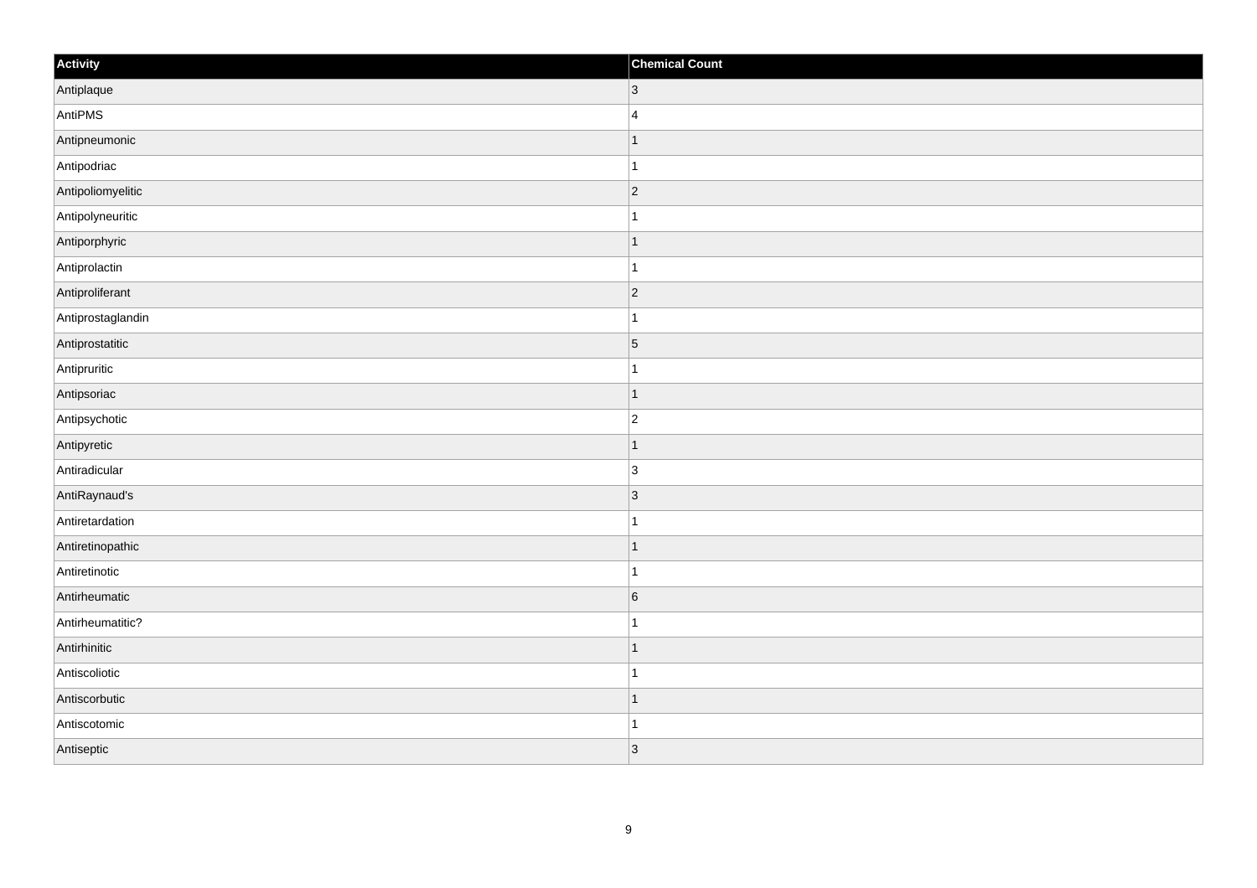| Activity          | <b>Chemical Count</b> |
|-------------------|-----------------------|
| Antiplaque        | $ 3\rangle$           |
| AntiPMS           | $\overline{4}$        |
| Antipneumonic     | $\mathbf 1$           |
| Antipodriac       | $\mathbf{1}$          |
| Antipoliomyelitic | $ 2\rangle$           |
| Antipolyneuritic  |                       |
| Antiporphyric     | $\vert$ 1             |
| Antiprolactin     | $\vert$ 1             |
| Antiproliferant   | $ 2\rangle$           |
| Antiprostaglandin | $\mathbf{1}$          |
| Antiprostatitic   | $\vert$ 5             |
| Antipruritic      | 1                     |
| Antipsoriac       | $\vert$ 1             |
| Antipsychotic     | $\overline{c}$        |
| Antipyretic       | $\overline{1}$        |
| Antiradicular     | 3                     |
| AntiRaynaud's     | 3                     |
| Antiretardation   | $\overline{1}$        |
| Antiretinopathic  | $\vert$ 1             |
| Antiretinotic     | $\mathbf{1}$          |
| Antirheumatic     | 6                     |
| Antirheumatitic?  | 1                     |
| Antirhinitic      | $\vert$ 1             |
| Antiscoliotic     | $\mathbf 1$           |
| Antiscorbutic     | $\vert$ 1             |
| Antiscotomic      | $\mathbf{1}$          |
| Antiseptic        | 3                     |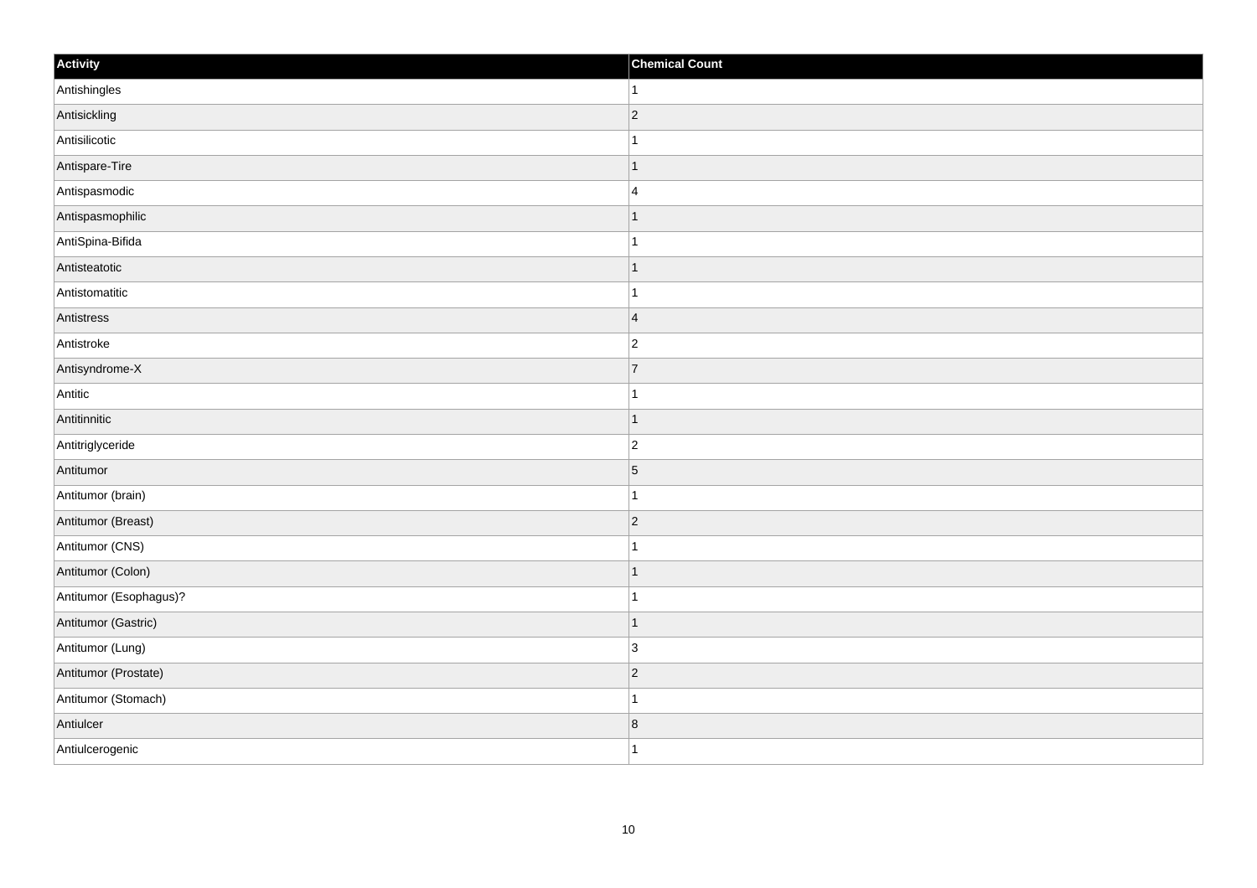| Activity               | <b>Chemical Count</b> |
|------------------------|-----------------------|
| Antishingles           | $\vert$ 1             |
| Antisickling           | $ 2\rangle$           |
| Antisilicotic          |                       |
| Antispare-Tire         | $\mathbf 1$           |
| Antispasmodic          | $\overline{4}$        |
| Antispasmophilic       |                       |
| AntiSpina-Bifida       | 1                     |
| Antisteatotic          | $\mathbf 1$           |
| Antistomatitic         |                       |
| Antistress             | $\overline{4}$        |
| Antistroke             | $\overline{c}$        |
| Antisyndrome-X         | $\overline{7}$        |
| Antitic                | $\mathbf 1$           |
| Antitinnitic           | $\mathbf 1$           |
| Antitriglyceride       | $ 2\rangle$           |
| Antitumor              | $\vert$ 5             |
| Antitumor (brain)      | 1                     |
| Antitumor (Breast)     | $ 2\rangle$           |
| Antitumor (CNS)        | 1                     |
| Antitumor (Colon)      | 1                     |
| Antitumor (Esophagus)? | $\overline{1}$        |
| Antitumor (Gastric)    | $\mathbf{1}$          |
| Antitumor (Lung)       | 3                     |
| Antitumor (Prostate)   | $ 2\rangle$           |
| Antitumor (Stomach)    | $\overline{1}$        |
| Antiulcer              | 8                     |
| Antiulcerogenic        | $\mathbf{1}$          |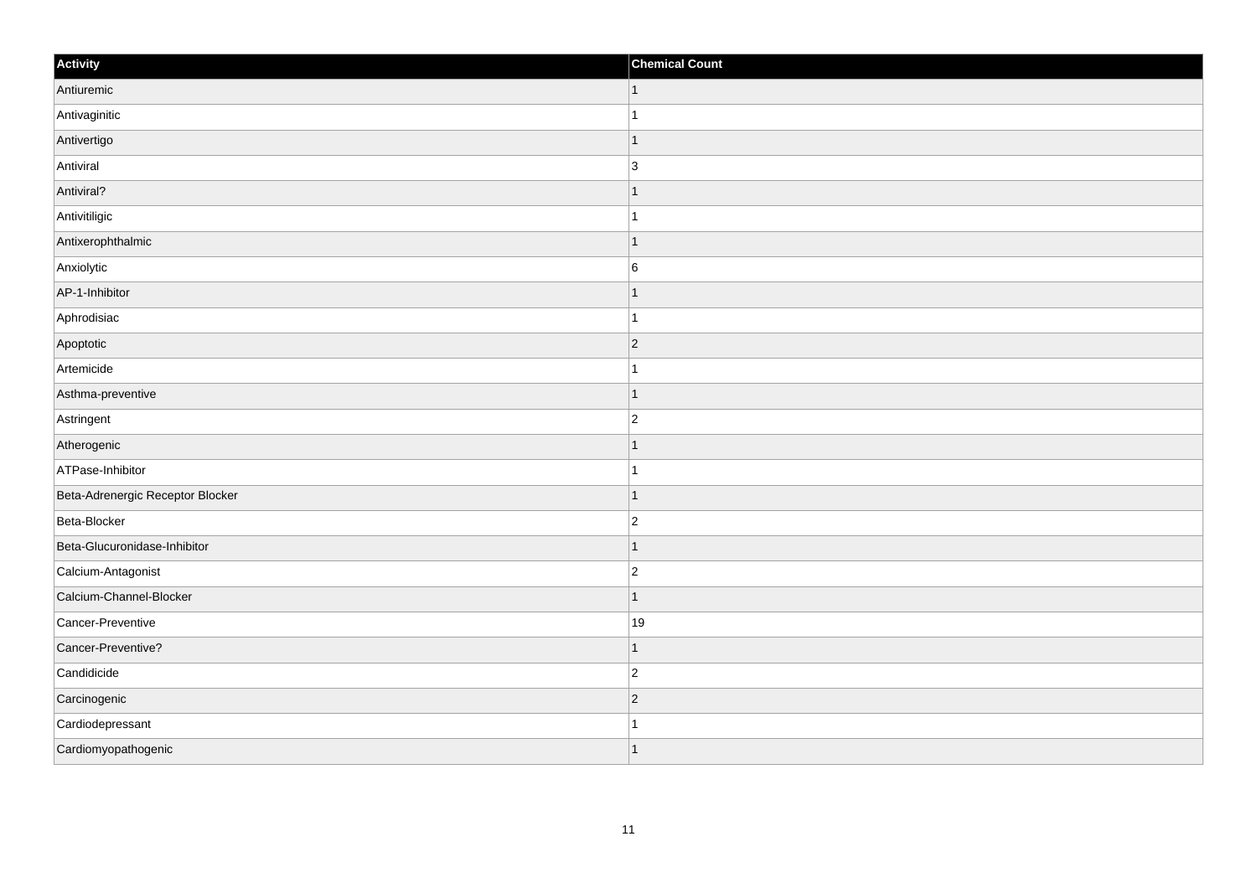| Activity                         | <b>Chemical Count</b>    |
|----------------------------------|--------------------------|
| Antiuremic                       | 1                        |
| Antivaginitic                    |                          |
| Antivertigo                      |                          |
| Antiviral                        | 3                        |
| Antiviral?                       |                          |
| Antivitiligic                    |                          |
| Antixerophthalmic                | -1                       |
| Anxiolytic                       | $6\phantom{a}$           |
| AP-1-Inhibitor                   |                          |
| Aphrodisiac                      |                          |
| Apoptotic                        | $\overline{2}$           |
| Artemicide                       |                          |
| Asthma-preventive                | 1                        |
| Astringent                       | $\overline{2}$           |
| Atherogenic                      |                          |
| ATPase-Inhibitor                 |                          |
| Beta-Adrenergic Receptor Blocker |                          |
| Beta-Blocker                     | $\overline{2}$           |
| Beta-Glucuronidase-Inhibitor     | 1                        |
| Calcium-Antagonist               | $\overline{2}$           |
| Calcium-Channel-Blocker          | $\overline{\phantom{a}}$ |
| Cancer-Preventive                | 19                       |
| Cancer-Preventive?               |                          |
| Candidicide                      | $\overline{2}$           |
| Carcinogenic                     | $\vert$ 2                |
| Cardiodepressant                 |                          |
| Cardiomyopathogenic              | $\overline{\phantom{a}}$ |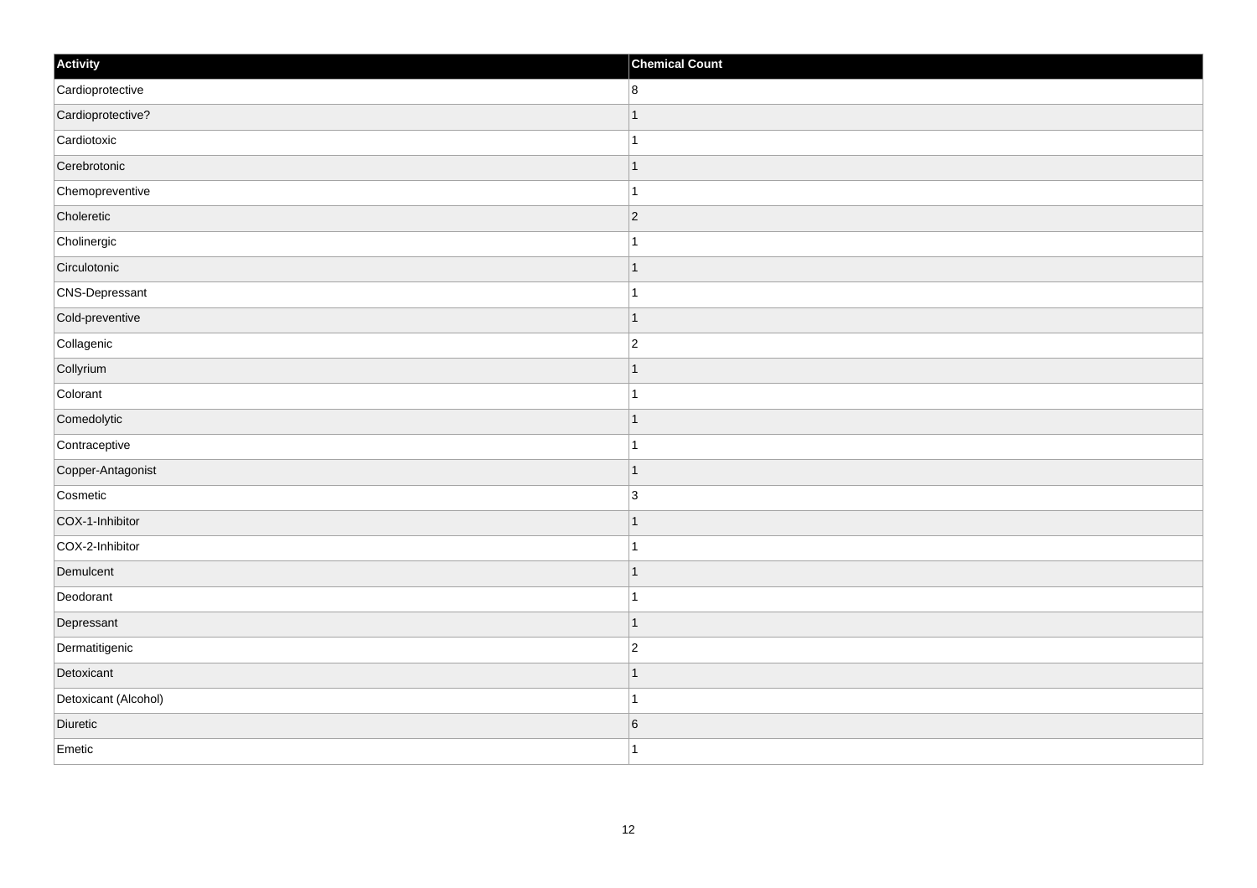| Activity             | <b>Chemical Count</b>   |
|----------------------|-------------------------|
| Cardioprotective     | 8                       |
| Cardioprotective?    |                         |
| Cardiotoxic          | 1                       |
| Cerebrotonic         | $\mathbf 1$             |
| Chemopreventive      | $\mathbf{1}$            |
| Choleretic           | 2                       |
| Cholinergic          | $\mathbf{1}$            |
| Circulotonic         | $\mathbf 1$             |
| CNS-Depressant       |                         |
| Cold-preventive      | $\mathbf{1}$            |
| Collagenic           | $\overline{c}$          |
| Collyrium            |                         |
| Colorant             | $\mathbf{1}$            |
| Comedolytic          | 1                       |
| Contraceptive        | $\mathbf{1}$            |
| Copper-Antagonist    | $\mathbf{1}$            |
| Cosmetic             | 3                       |
| COX-1-Inhibitor      | $\overline{\mathbf{1}}$ |
| COX-2-Inhibitor      | $\overline{1}$          |
| Demulcent            | $\vert$ 1               |
| Deodorant            | $\mathbf{1}$            |
| Depressant           | $\overline{1}$          |
| Dermatitigenic       | $\overline{c}$          |
| Detoxicant           | $\mathbf 1$             |
| Detoxicant (Alcohol) | $\mathbf{1}$            |
| Diuretic             | $6\phantom{.}6$         |
| Emetic               | $\mathbf{1}$            |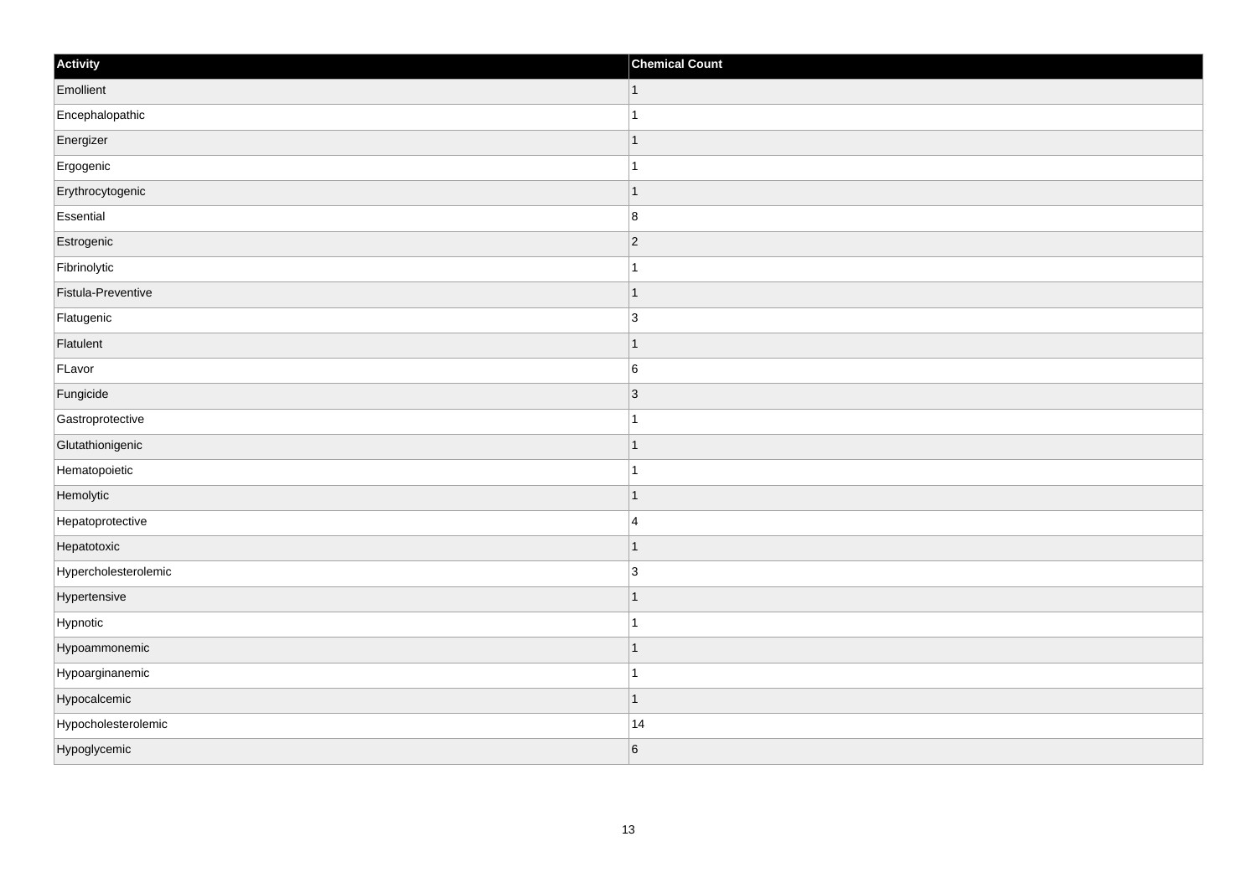| Activity             | <b>Chemical Count</b> |
|----------------------|-----------------------|
| Emollient            | $\vert$ 1             |
| Encephalopathic      | $\mathbf{1}$          |
| Energizer            | 1                     |
| Ergogenic            | 1                     |
| Erythrocytogenic     | $\mathbf 1$           |
| Essential            | 8                     |
| Estrogenic           | $ 2\rangle$           |
| Fibrinolytic         | $\mathbf{1}$          |
| Fistula-Preventive   | $\mathbf 1$           |
| Flatugenic           | $\overline{3}$        |
| Flatulent            | 1                     |
| FLavor               | 6                     |
| Fungicide            | 3                     |
| Gastroprotective     | 1                     |
| Glutathionigenic     | 1                     |
| Hematopoietic        | $\mathbf{1}$          |
| Hemolytic            | 1                     |
| Hepatoprotective     | $\overline{4}$        |
| Hepatotoxic          | $\mathbf{1}$          |
| Hypercholesterolemic | $\overline{3}$        |
| Hypertensive         | $\mathbf 1$           |
| Hypnotic             | $\mathbf{1}$          |
| Hypoammonemic        | 1                     |
| Hypoarginanemic      | $\mathbf 1$           |
| Hypocalcemic         | $\mathbf{1}$          |
| Hypocholesterolemic  | 14                    |
| Hypoglycemic         | 6                     |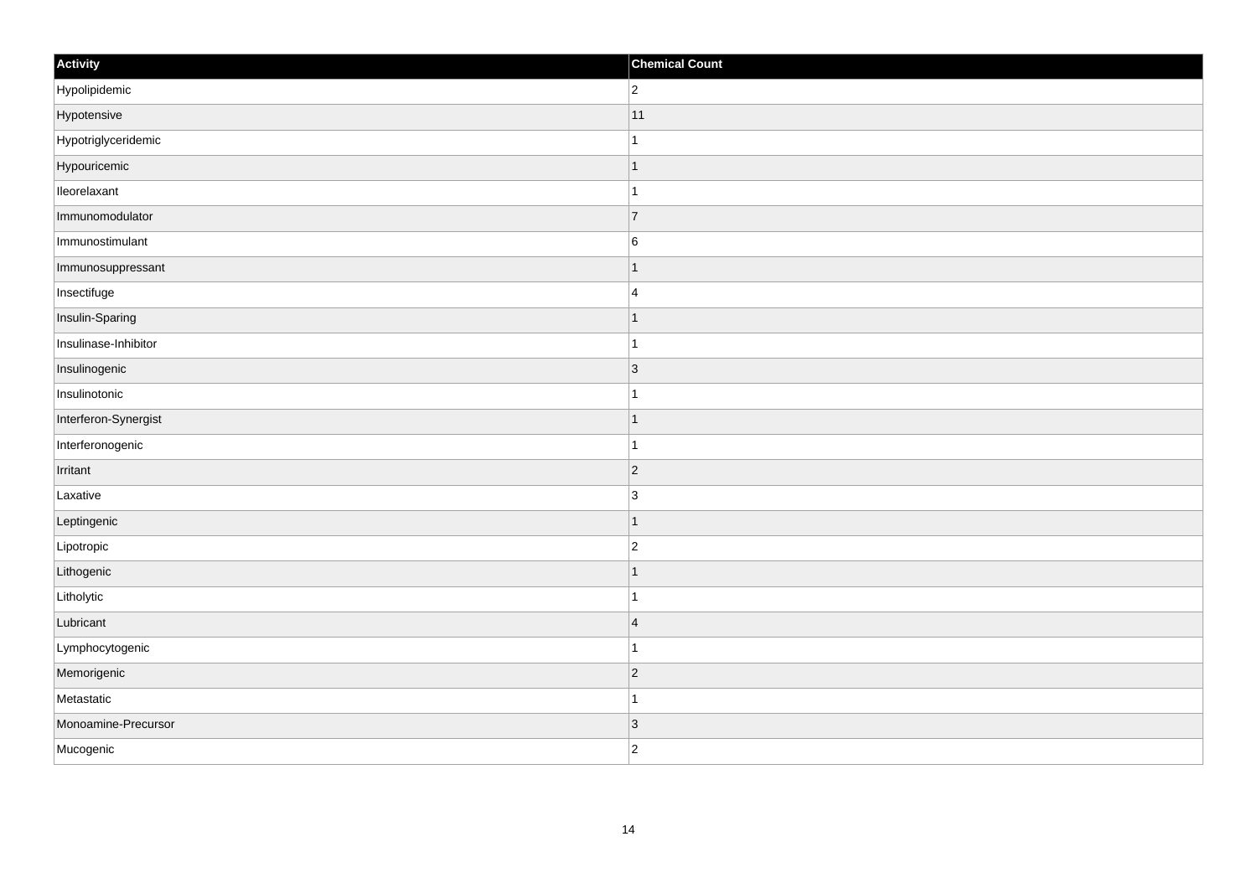| Activity             | <b>Chemical Count</b> |
|----------------------|-----------------------|
| Hypolipidemic        | $ 2\rangle$           |
| Hypotensive          | 11                    |
| Hypotriglyceridemic  | $\mathbf{1}$          |
| Hypouricemic         | $\vert$ 1             |
| lleorelaxant         | $\vert$ 1             |
| Immunomodulator      | 7                     |
| Immunostimulant      | 6                     |
| Immunosuppressant    | $\mathbf{1}$          |
| Insectifuge          | 4                     |
| Insulin-Sparing      | $\vert$ 1             |
| Insulinase-Inhibitor | $\vert$ 1             |
| Insulinogenic        | $ 3\rangle$           |
| Insulinotonic        | $\vert$ 1             |
| Interferon-Synergist | $\vert$ 1             |
| Interferonogenic     | $\vert$ 1             |
| Irritant             | $ 2\rangle$           |
| Laxative             | $\vert 3 \vert$       |
| Leptingenic          | $\vert$ 1             |
| Lipotropic           | $ 2\rangle$           |
| Lithogenic           | $\mathbf{1}$          |
| Litholytic           | $\vert$ 1             |
| Lubricant            | $\vert 4$             |
| Lymphocytogenic      | $\mathbf{1}$          |
| Memorigenic          | $\overline{2}$        |
| Metastatic           | $\vert$ 1             |
| Monoamine-Precursor  | $\vert$ 3             |
| Mucogenic            | $ 2\rangle$           |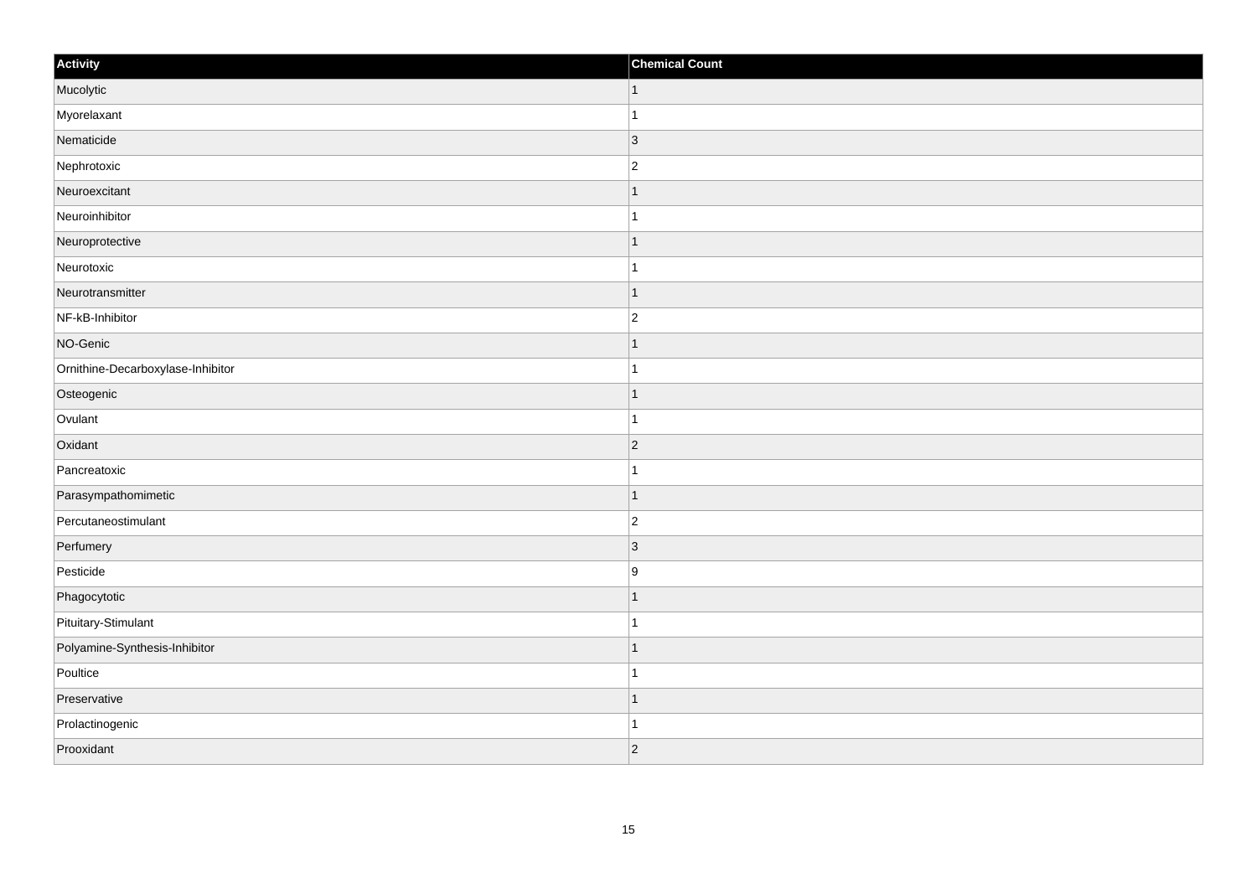| Activity                          | <b>Chemical Count</b> |
|-----------------------------------|-----------------------|
| Mucolytic                         | $\vert$ 1             |
| Myorelaxant                       | $\overline{1}$        |
| Nematicide                        | 3                     |
| Nephrotoxic                       | $\overline{c}$        |
| Neuroexcitant                     |                       |
| Neuroinhibitor                    |                       |
| Neuroprotective                   | $\mathbf 1$           |
| Neurotoxic                        | $\mathbf{1}$          |
| Neurotransmitter                  | $\mathbf 1$           |
| NF-kB-Inhibitor                   | $\overline{c}$        |
| NO-Genic                          |                       |
| Ornithine-Decarboxylase-Inhibitor |                       |
| Osteogenic                        | $\mathbf{1}$          |
| Ovulant                           | $\mathbf{1}$          |
| Oxidant                           | $ 2\rangle$           |
| Pancreatoxic                      | $\mathbf{1}$          |
| Parasympathomimetic               | $\mathbf 1$           |
| Percutaneostimulant               | $\overline{c}$        |
| Perfumery                         | 3                     |
| Pesticide                         | 9                     |
| Phagocytotic                      | $\mathbf 1$           |
| Pituitary-Stimulant               | $\mathbf{1}$          |
| Polyamine-Synthesis-Inhibitor     | 1                     |
| Poultice                          | -1                    |
| Preservative                      | $\mathbf 1$           |
| Prolactinogenic                   | 1                     |
| Prooxidant                        | $ 2\rangle$           |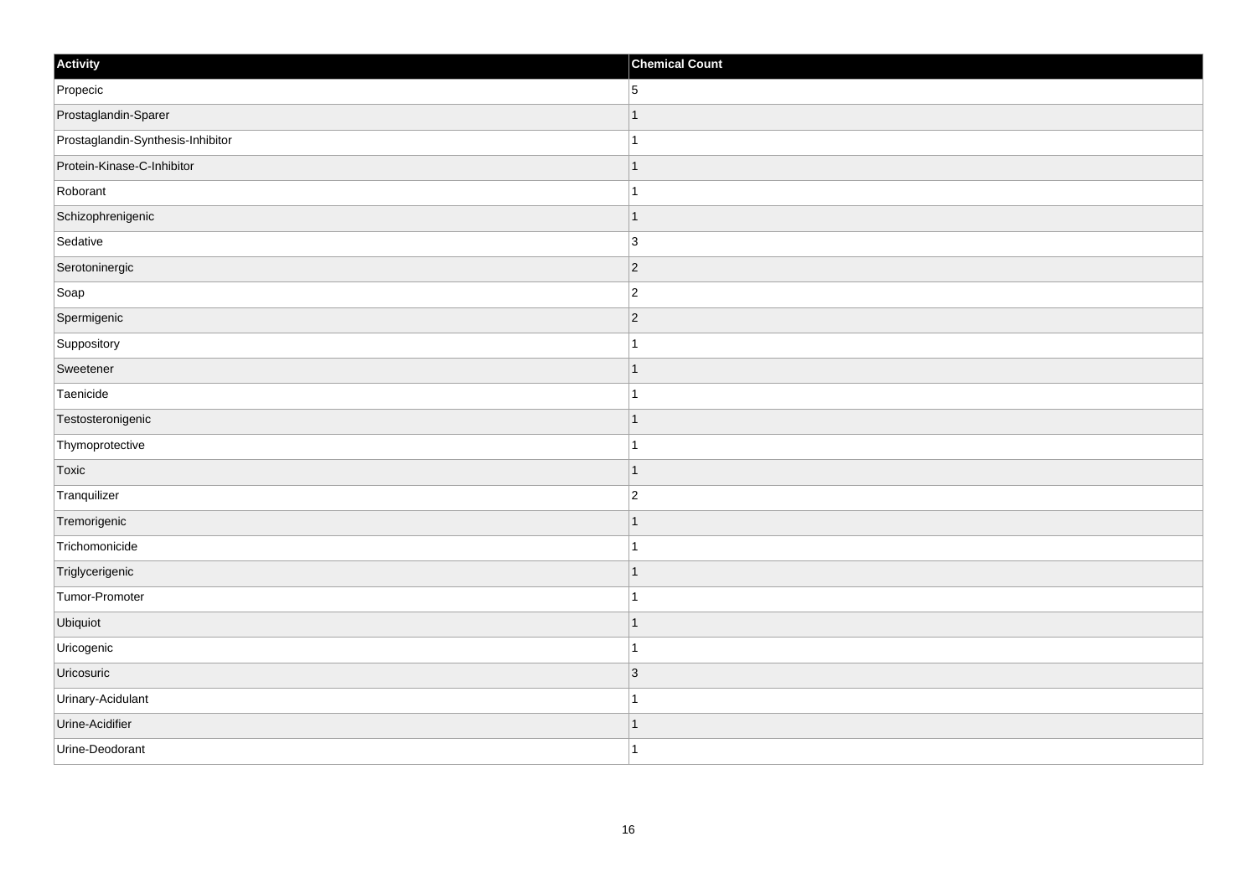| Activity                          | <b>Chemical Count</b> |
|-----------------------------------|-----------------------|
| Propecic                          | 5                     |
| Prostaglandin-Sparer              | $\mathbf{1}$          |
| Prostaglandin-Synthesis-Inhibitor | $\mathbf{1}$          |
| Protein-Kinase-C-Inhibitor        | $\vert$ 1             |
| Roborant                          | $\mathbf{1}$          |
| Schizophrenigenic                 | $\mathbf{1}$          |
| Sedative                          | 3                     |
| Serotoninergic                    | $\vert$ 2             |
| Soap                              | $\vert$ 2             |
| Spermigenic                       | $\vert$ 2             |
| Suppository                       | $\mathbf{1}$          |
| Sweetener                         | $\mathbf{1}$          |
| Taenicide                         | $\mathbf{1}$          |
| Testosteronigenic                 | $\mathbf{1}$          |
| Thymoprotective                   | $\mathbf{1}$          |
| Toxic                             | $\vert$ 1             |
| Tranquilizer                      | $\vert$ 2             |
| Tremorigenic                      | $\mathbf{1}$          |
| Trichomonicide                    | $\mathbf{1}$          |
| Triglycerigenic                   | $\mathbf{1}$          |
| Tumor-Promoter                    | $\mathbf{1}$          |
| Ubiquiot                          | $\vert$ 1             |
| Uricogenic                        | $\vert$ 1             |
| Uricosuric                        | $ 3\rangle$           |
| Urinary-Acidulant                 | $\vert$ 1             |
| Urine-Acidifier                   | $\mathbf{1}$          |
| Urine-Deodorant                   | $\vert$ 1             |